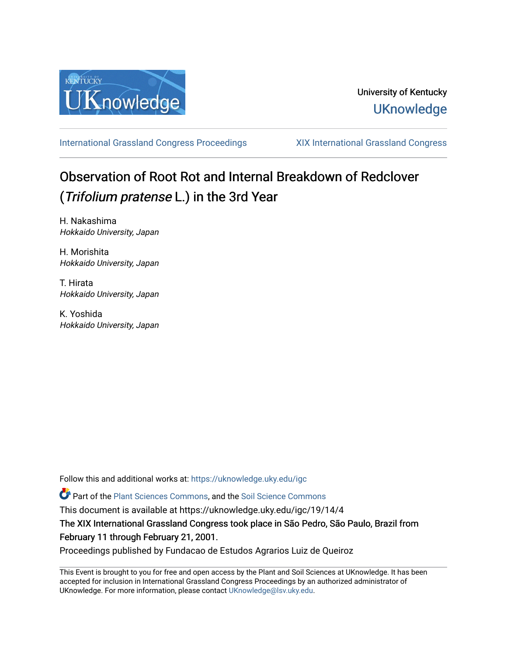

[International Grassland Congress Proceedings](https://uknowledge.uky.edu/igc) [XIX International Grassland Congress](https://uknowledge.uky.edu/igc/19) 

# Observation of Root Rot and Internal Breakdown of Redclover (Trifolium pratense L.) in the 3rd Year

H. Nakashima Hokkaido University, Japan

H. Morishita Hokkaido University, Japan

T. Hirata Hokkaido University, Japan

K. Yoshida Hokkaido University, Japan

Follow this and additional works at: [https://uknowledge.uky.edu/igc](https://uknowledge.uky.edu/igc?utm_source=uknowledge.uky.edu%2Figc%2F19%2F14%2F4&utm_medium=PDF&utm_campaign=PDFCoverPages) 

**C**<sup> $\bullet$ </sup> Part of the [Plant Sciences Commons](http://network.bepress.com/hgg/discipline/102?utm_source=uknowledge.uky.edu%2Figc%2F19%2F14%2F4&utm_medium=PDF&utm_campaign=PDFCoverPages), and the Soil Science Commons

This document is available at https://uknowledge.uky.edu/igc/19/14/4

The XIX International Grassland Congress took place in São Pedro, São Paulo, Brazil from February 11 through February 21, 2001.

Proceedings published by Fundacao de Estudos Agrarios Luiz de Queiroz

This Event is brought to you for free and open access by the Plant and Soil Sciences at UKnowledge. It has been accepted for inclusion in International Grassland Congress Proceedings by an authorized administrator of UKnowledge. For more information, please contact [UKnowledge@lsv.uky.edu](mailto:UKnowledge@lsv.uky.edu).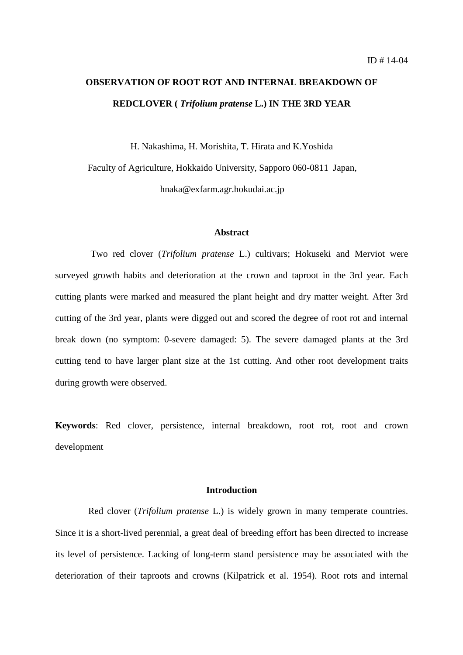# **OBSERVATION OF ROOT ROT AND INTERNAL BREAKDOWN OF REDCLOVER (** *Trifolium pratense* **L.) IN THE 3RD YEAR**

H. Nakashima, H. Morishita, T. Hirata and K.Yoshida

Faculty of Agriculture, Hokkaido University, Sapporo 060-0811 Japan,

hnaka@exfarm.agr.hokudai.ac.jp

# **Abstract**

 Two red clover (*Trifolium pratense* L.) cultivars; Hokuseki and Merviot were surveyed growth habits and deterioration at the crown and taproot in the 3rd year. Each cutting plants were marked and measured the plant height and dry matter weight. After 3rd cutting of the 3rd year, plants were digged out and scored the degree of root rot and internal break down (no symptom: 0-severe damaged: 5). The severe damaged plants at the 3rd cutting tend to have larger plant size at the 1st cutting. And other root development traits during growth were observed.

**Keywords**: Red clover, persistence, internal breakdown, root rot, root and crown development

# **Introduction**

Red clover (*Trifolium pratense* L.) is widely grown in many temperate countries. Since it is a short-lived perennial, a great deal of breeding effort has been directed to increase its level of persistence. Lacking of long-term stand persistence may be associated with the deterioration of their taproots and crowns (Kilpatrick et al. 1954). Root rots and internal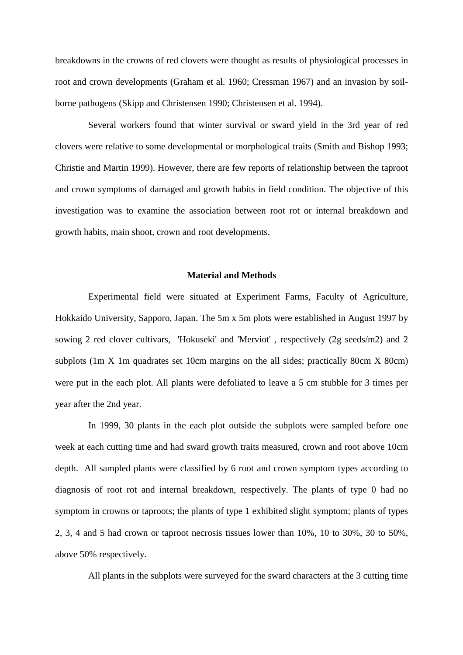breakdowns in the crowns of red clovers were thought as results of physiological processes in root and crown developments (Graham et al. 1960; Cressman 1967) and an invasion by soilborne pathogens (Skipp and Christensen 1990; Christensen et al. 1994).

Several workers found that winter survival or sward yield in the 3rd year of red clovers were relative to some developmental or morphological traits (Smith and Bishop 1993; Christie and Martin 1999). However, there are few reports of relationship between the taproot and crown symptoms of damaged and growth habits in field condition. The objective of this investigation was to examine the association between root rot or internal breakdown and growth habits, main shoot, crown and root developments.

### **Material and Methods**

Experimental field were situated at Experiment Farms, Faculty of Agriculture, Hokkaido University, Sapporo, Japan. The 5m x 5m plots were established in August 1997 by sowing 2 red clover cultivars, 'Hokuseki' and 'Merviot' , respectively (2g seeds/m2) and 2 subplots (1m X 1m quadrates set 10cm margins on the all sides; practically 80cm X 80cm) were put in the each plot. All plants were defoliated to leave a 5 cm stubble for 3 times per year after the 2nd year.

In 1999, 30 plants in the each plot outside the subplots were sampled before one week at each cutting time and had sward growth traits measured, crown and root above 10cm depth. All sampled plants were classified by 6 root and crown symptom types according to diagnosis of root rot and internal breakdown, respectively. The plants of type 0 had no symptom in crowns or taproots; the plants of type 1 exhibited slight symptom; plants of types 2, 3, 4 and 5 had crown or taproot necrosis tissues lower than 10%, 10 to 30%, 30 to 50%, above 50% respectively.

All plants in the subplots were surveyed for the sward characters at the 3 cutting time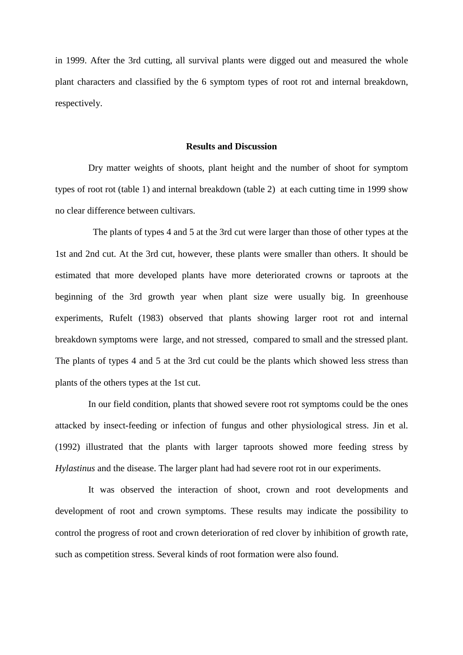in 1999. After the 3rd cutting, all survival plants were digged out and measured the whole plant characters and classified by the 6 symptom types of root rot and internal breakdown, respectively.

#### **Results and Discussion**

Dry matter weights of shoots, plant height and the number of shoot for symptom types of root rot (table 1) and internal breakdown (table 2) at each cutting time in 1999 show no clear difference between cultivars.

 The plants of types 4 and 5 at the 3rd cut were larger than those of other types at the 1st and 2nd cut. At the 3rd cut, however, these plants were smaller than others. It should be estimated that more developed plants have more deteriorated crowns or taproots at the beginning of the 3rd growth year when plant size were usually big. In greenhouse experiments, Rufelt (1983) observed that plants showing larger root rot and internal breakdown symptoms were large, and not stressed, compared to small and the stressed plant. The plants of types 4 and 5 at the 3rd cut could be the plants which showed less stress than plants of the others types at the 1st cut.

In our field condition, plants that showed severe root rot symptoms could be the ones attacked by insect-feeding or infection of fungus and other physiological stress. Jin et al. (1992) illustrated that the plants with larger taproots showed more feeding stress by *Hylastinus* and the disease. The larger plant had had severe root rot in our experiments.

It was observed the interaction of shoot, crown and root developments and development of root and crown symptoms. These results may indicate the possibility to control the progress of root and crown deterioration of red clover by inhibition of growth rate, such as competition stress. Several kinds of root formation were also found.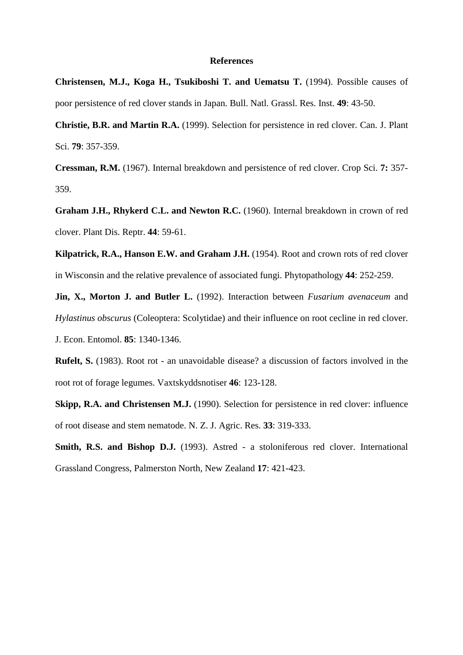## **References**

**Christensen, M.J., Koga H., Tsukiboshi T. and Uematsu T.** (1994). Possible causes of poor persistence of red clover stands in Japan. Bull. Natl. Grassl. Res. Inst. **49**: 43-50.

**Christie, B.R. and Martin R.A.** (1999). Selection for persistence in red clover. Can. J. Plant Sci. **79**: 357-359.

**Cressman, R.M.** (1967). Internal breakdown and persistence of red clover. Crop Sci. **7:** 357- 359.

**Graham J.H., Rhykerd C.L. and Newton R.C.** (1960). Internal breakdown in crown of red clover. Plant Dis. Reptr. **44**: 59-61.

**Kilpatrick, R.A., Hanson E.W. and Graham J.H.** (1954). Root and crown rots of red clover in Wisconsin and the relative prevalence of associated fungi. Phytopathology **44**: 252-259.

**Jin, X., Morton J. and Butler L.** (1992). Interaction between *Fusarium avenaceum* and *Hylastinus obscurus* (Coleoptera: Scolytidae) and their influence on root cecline in red clover.

J. Econ. Entomol. **85**: 1340-1346.

**Rufelt, S.** (1983). Root rot - an unavoidable disease? a discussion of factors involved in the root rot of forage legumes. Vaxtskyddsnotiser **46**: 123-128.

**Skipp, R.A. and Christensen M.J.** (1990). Selection for persistence in red clover: influence of root disease and stem nematode. N. Z. J. Agric. Res. **33**: 319-333.

**Smith, R.S. and Bishop D.J.** (1993). Astred - a stoloniferous red clover. International Grassland Congress, Palmerston North, New Zealand **17**: 421-423.